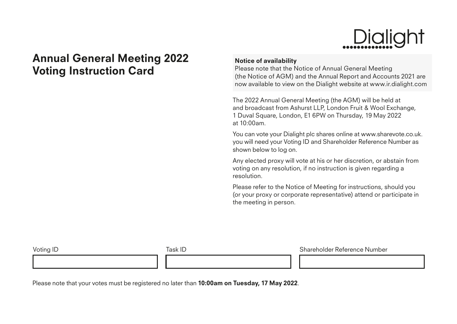## Dialight

## Annual General Meeting 2022 Voting Instruction Card

## Notice of availability

Please note that the Notice of Annual General Meeting (the Notice of AGM) and the Annual Report and Accounts 2021 are now available to view on the Dialight website at www.ir.dialight.com

The 2022 Annual General Meeting (the AGM) will be held at and broadcast from Ashurst LLP, London Fruit & Wool Exchange, 1 Duval Square, London, E1 6PW on Thursday, 19 May 2022 at 10:00am.

You can vote your Dialight plc shares online at www.sharevote.co.uk. you will need your Voting ID and Shareholder Reference Number as shown below to log on.

Any elected proxy will vote at his or her discretion, or abstain from voting on any resolution, if no instruction is given regarding a resolution.

Please refer to the Notice of Meeting for instructions, should you (or your proxy or corporate representative) attend or participate in the meeting in person.

Voting ID **Shareholder Reference Number** Task ID Shareholder Reference Number

Please note that your votes must be registered no later than **10:00am on Tuesday, 17 May 2022**.